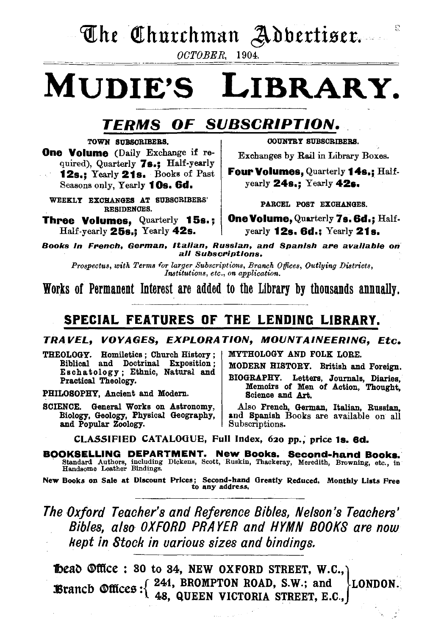## The Churchman Adbertiser.

OCTOBER, 1904.

# **MUDIE'S LIBRARY.**

### TERMS OF SUBSCRIPTION.

TOWN SUBSORIBERS.

One Volume (Daily Exchange if required), Quarterly 7s.; Half-yearly 12s.; Yearly 21s. Books of Past Seasons only, Yearly 10s. 6d.

WEEKLY EXCHANGES AT SUBSCRIBERS' RESIDENCES.

Three Volumes, Quarterly 15s.; Half-yearly 25s,; Yearly 42s.

COUNTRY SUBSCRIBERS.

Exchanges by Rail in Library Boxes.

Four Volumes, Quarterly 14s.: Halfyearly 24s.: Yearly 42s.

PARCEL POST EXCHANGES.

One Volume, Quarterly 7s. 6d.: Halfyearly 12s. 6d.; Yearly 21s.

Books In French, German, Italian, Russian, and Spanish are available on all Subscriptions.

*Prospectus, with Terms for larger Subscriptions, Branch Offices, Outlying Districts, Institutions, etc., on application.* 

Works of Permanent Interest are added to the Library by thousands annually.

### SPECIAL FEATURES OF THE LENDING LIBRARY.

#### TRAVEL, VOYAGES, EXPLORATION, MOUNTAINEERING, Etc.

THEOLOGY. Homiletics ; Church History ; Biblical and Doctrinal Exposition ; Eschatology; Ethnic, Natural and Practical Theology.

PHILOSOPHY, Ancient and Modern.

and Popular Zoology.

MYTHOLOGY AND FOLK LORE.

MODERN HISTORY. British and Foreign.

BIOGRAPHY. Letters, Journals, Diaries, Memoirs of Men of Action, Thought, Science and Art.

SCIENCE. General Works on Astronomy, Also French, German, Italian, Russian, Biology, Geology, Physical Geography, and Spanish Books are available on all and Spanish Books are available on all Subscriptions.

CLASSIFIED CATALOGUE, Full Index, 620 pp., price 1s. 6d.

BOOKSELLING DEPARTMENT. New Books. Second-hand Books. Standard Authors, including Dickens, Scott, Ruskin, Thackeray, Meredith, Browning, etc., in Handsome Leather Bindings.

New Books on Sale at Discount Prices; Second-hand Greatly Reduced, Monthly Lists Free<br>to any address.

*The Oxford Teacher's and Reference Bibles, Nelson's Teachers' Bibles, also OXFORD PRAYER and HYMN BOOKS are now kept in Stock in uarious sizes and bindings.* 

**Dead Office : 80 to 84, NEW OXFORD STREET, W.C.,**<br>**Example Offices** of 241, BROMPTON ROAD, S.W.; and **Beanch Offices :**  $\begin{cases} 241, \text{ BROMPTON ROAD, S.W.; and } LONDON. \end{cases}$  [LONDON.]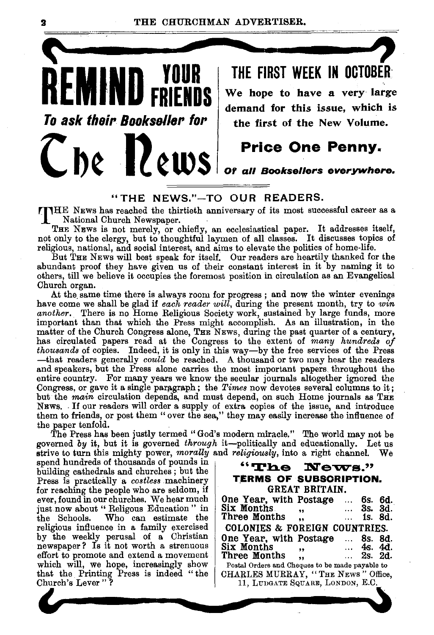

 $\overline{\phantom{a}}$ **THE FIRST WEEK IN OCTOBER·** 

We hope to have a very· large demand for this issue, which is the first of the New Volume.

### **Price One Penny.**

### **Of all Booksellers everywhere.**

#### "THE NEWS."-TO OUR READERS.

THE NEWS has reached the thirtieth anniversary of its most successful career as a National Church Newspaper.

THE NEWS is not merely, or chiefly, an ecclesiastical paper. It addresses itself, not only to the clergy, but to thoughtful laymen of all classes. It discusses topics of religious, national, and social interest, and aims to elevate the politics of home-life.

But THE NEWS will best speak for itself. Our readers are heartily thanked for the abundant proof they have given us of their constant interest in it by naming it to others, till we believe it occupies the foremost position in circulation as an Evangelical Church organ.

At the same time there is always room for progress; and now the winter evenings have come we shall be glad if *each reader will*, during the present month, try to win another. There is no Home Religious Society work, sustained by large funds, more important than that which the Press might accomplish. As an illustration, in the matter of the Church Congress alone, THE NEws, during the past quarter of a century, has circulated papers read at the Congress to the extent of *many hundreds of thousands* of copies. Indeed, it is only in this way-by the free services of the Press -that readers generally *could* be reached. A thousand or two may hear the readers and speakers, but the Press alone carries the most important papers. throughout the entire country. For many years we know the secular journals altogether ignored the Congress, or gave it a single paragraph; the *Times* now devotes several columns to it; but the *main* circulation depends, and must depend, on such Home journals as THE NEws. . If our readers will order a supply of extra copies of the issue, and introduce them to friends, or post them " over the sea," they may easily increase the influence of the paper tenfold.

The Press has been justly termed "God's modern miracle." The world may not be governed by it, but it is governed *through* it—politically and educationally. Let us governed *by* it, but it is governed *through* it-politically and educationally. Let us strive to turn this mighty power, *morally* and *religiously,* into a right channel. We

strive to turn this mighty power, *morally* and *religiously*, into a right channel.<br>spend hundreds of thousands of pounds in **e. The News**. building cathedrals and churches; but the<br>Press is practically a *costless* machinery **TERMS OF SUBSCRIPTION.**<br>for reaching the people who are seldom, if **GREAT BRITAIN**. for reaching the people who are seldom, if ever, found in our churches. We hear much just now about " Religous Education " in the Schools. Who can estimate the religious influence in a family exercised by the weekly perusal of a Christian newspaper? Is it not worth a strenuous effort to promote and extend a movement which will, we hope, increasingly show that the Printing Press is indeed "the | CHARLES MURRAY, "The News" Office, effort to promote and extend a movement. Three Months , ... 28. 2d.<br>which will, we hope, increasingly show rotal Orders and Cheques to be made payable to<br>that the Printing Press is indeed "the CHARLES MURRAY, "THE NEWS" Of

| One Year, with Postage                          |                  | 6s. 6d.    |  |
|-------------------------------------------------|------------------|------------|--|
| Six Months<br>$\ddot{\phantom{a}}$              |                  | $$ 3s. 3d. |  |
| Three Months<br>$\ddotsc$                       |                  | 1s. 8d.    |  |
| COLONIES & FOREIGN COUNTRIES.                   |                  |            |  |
| One Year, with Postage  8s. 8d.                 |                  |            |  |
| Six Months<br>$\overline{\mathbf{1}}$           |                  | $$ 4s. 4d. |  |
| Three Months<br>$\ddot{\phantom{a}}$            | $\ldots$ 2s. 2d. |            |  |
| Postal Orders and Cheques to be made payable to |                  |            |  |
| CHARLES MURRAY, "THE NEWS" Office,              |                  |            |  |
| 11. LIIDGATE SOILARE, LONDON, E.C.              |                  |            |  |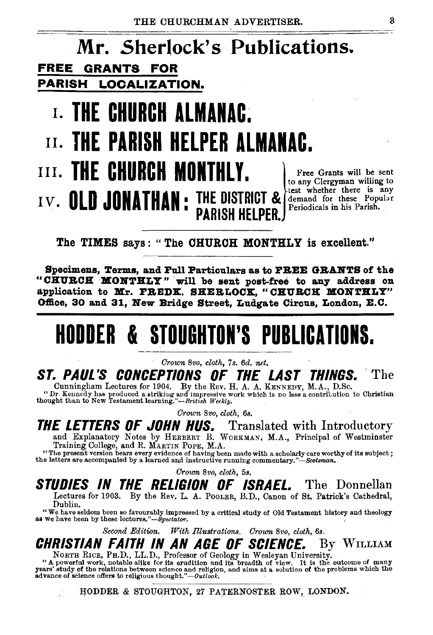### Mr. Sherlock's Publications. FREE GRANTS FOR PARISH LOCALIZATION.

## **1. THE CHURCH ALMANAC.**

## n. **THE PARISH HELPER ALMANAC.**

# III. **THE CHURCH MONTHLY.** The Grants will be sent <br>IV. **OID.JONATHAN.** THE DISTRICT & demand for these Popular

IV. **OLD JONATHAN : THE DISTRICT & Creating for these** Pope Pope PARISH HELPER. Periodicals in his Parish.

The TIMES says: "The CHURCH MONTHLY is excellent."

Specimens, Terms, and Full Particulars as to FREE GRANTS of the "CHURCH MONTHLY" will be sent post-free to any address on application to  $M_r$ . FREDK. SHERLOCK. "CHURCH MONTHLY" Office, 30 and 31, New Bridge Street, Ludgate Circus, London, E.C.

# **HODDER & STOUGHTON'S PUBLICATIONS.**

*Crown 8vo, cloth,* 7 *s. 6d. net.* 

## ST. PAUL'S CONCEPTIONS OF THE LAST THINGS. The Cunningham Lectures for 1904. By the Rev. H. A. A. KENNEDY, M.A., D.Sc.

" Dr. Kennedy has produced a striking and impressive work which is no less a contribution to Christian thought than to New Testament learning,"-British Weekly.

*Crown 8vo, cloth, 6s.* 

**THE LETTERS OF JOHN HUS.** Translated with Introductory And Explanatory Notes by HERBERT B. WORKMAN, M.A., Principal of Westminster<br>Training College, and R. MARTIN POPE, M.A.

"The present version bears every evidence of having been made with a scholarly care worthy of its subject;<br>the letters are accompanied by a learned and instructive running commentary."-Scotsman.

*Crown 8vo, cloth, 5s.* 

## STUDIES IN THE RELIGION OF ISRAEL. The Donnellan

Lectures for 1903. By the Rev. L. A. POOLER, B.D., Canon of St. Patrick's Cathedral, Dublin.

Dublin. "We have seldom been so favourably impressed by a critical study of Old Testament history and theology as we have been by these lectures." *-Spectator.* 

*Second Edition. With fllustrations. Crown Svo, cloth, 6s.* 

**CHRISTIAN FAITH IN AN AGE OF SCIENCE.** By WILLIAM NORTH RICE, PH.D., LL.D., Professor of Geology in Wesleyan University. "A powerful work, notable alike for its erudition and its breadth of view. It is the outcome of man

HODDER & STOUGHTON, 27 PATERNOSTER ROW, LONDON.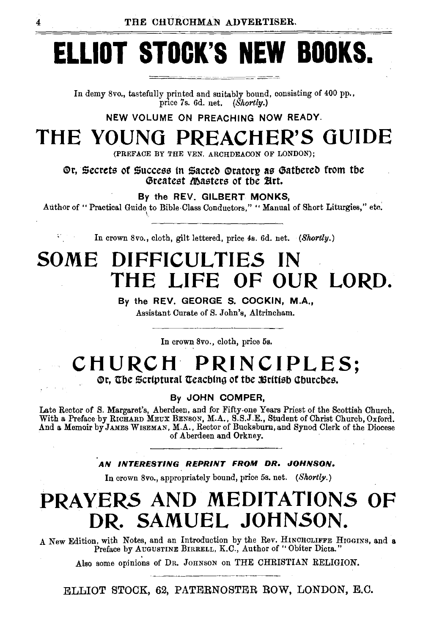# **ELLIOT STOCK'S NEW BOOKS.**

In demy 8vo., tastefully printed and suitably bound, consisting of 400 pp., price 7s. 6d. net. *(Shortly.)* 

NEW VOLUME ON PREACHING NOW READY.

## **THE YOUNG PREACHER'S GUIDE**

(PREFACE BY THE YEN. ARCHDEACON OF LONDON);

\i\!r, Secrets of Success tn Sacre~ \i\!rator)2 as Gatbere~ from tbe Greatest *Masters* of the *E*lrt.

By the REV. GILBERT MONKS,

Author of " Practical Guide to Bible-Class Conductors," " Manual of Short Liturgies," etc.

In crown 8vo., cloth, gilt lettered, price 4s. 6d. net. *(Shortly.)* 

## **SOME DIFFICULTIES IN THE LIFE OF OUR LORD.**

By the REV. GEORGE 5. COCKIN, M.A., Assistant Curate of S. John's, Altrincham.

In crown 8vo., cloth, price 5s.

## **CHURCH PRINCIPLES;**

 $\circledcirc$ r, The Scriptural Teaching of the British Churches.

### By JOHN COMPER,

Late Rector of S. Margaret's, Aberdeen, and for Fifty-one Years Priest of the Scottish Church.<br>With a Preface by RICHARD MEUX BENSON, M.A., S.S.J.E., Student of Christ Churcb, Oxford.<br>And a Memoir by JAMES WISEMAN, M.A., of Aberdeen and Orkney.

#### AN INTERESTING REPRINT FROM DR. JOHNSON.

In crown Svo., appropriately bound, price 5s. net. *(Shortly.)* 

## **PRAYERS AND MEDITATIONS OF DR. SAMUEL JOHNSON.**

A New Edition, with Notes, and an Introduction by the Rev. HINCHCLIFFE HIGGINS, and a Preface by AUGUSTINE BIRRELL, K.C., Author of "Obiter Dicta."

Also some opinions of DR, JOHNSON on THE CHRISTIAN RELIGION.

ELLIOT STOCK, 62, PATERNOSTER ROW, LONDON, E.C.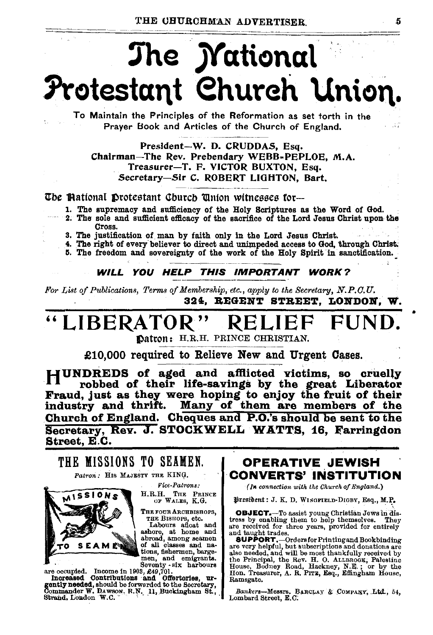# The Mational Protestant Church Union.

To Maintain the Principles of the Reformation as set torth in the Prayer Book and Articles of the Church of England.

President-W. D. CRUDDAS, Esq. Chairman-The Rev. Prebendary WEBB-PEPLOE, M.A. Treasurer-T. F. VICTOR BUXTON. Esq. Secretary-Sir C. ROBERT LIGHTON. Bart.

The Mational Drotestant Church Union witnesses for-

- 1. The supremacy and sufficiency of the Holy Scriptures as the Word of God.
- 2. The sole and sufficient efficacy of the sacrifice of the Lord Jesus Christ upon the Cross.
- 3. The justification of man by faith only in the Lord Jesus Christ.
- 4. The right of every believer to direct and unimpeded access to God, through Christ.
- 5. The freedom and sovereignty of the work of the Holy Spirit in sanctification.

WILL YOU HELP THIS IMPORTANT WORK?

For List of Publications, Terms of Membership, etc., apply to the Secretary, N.P.C.U. 324. REGENT STREET. LONDON, W.

## "LIBERATOR

Datron: H.R.H. PRINCE CHRISTIAN.

£10,000 required to Relieve New and Urgent Cases.

HUNDREDS of aged and afflicted victims, so cruelly robbed of their life-savings by the great Liberator Fraud, just as they were hoping to enjoy the fruit of their<br>industry and thrift. Many of them are members of the Church of England. Cheques and P.O.'s should be sent to the Secretary, Rev. J. STOCKWELL WATTS, 16, Farringdon Street, E.C.

## THE MISSIONS TO SEAMEN.

Patron: HIS MAJESTY THE KING.



**Fice-Patrons:** 

H.R.H. THE PRINCE OF WALES, K.G.

THE FOUR ARCHBISHOPS. THE BISHOPS, etc. Labours afloat and

asbours and a above and abroad, among seamen tions, fishermen, bargemen, and emigrants. Seventy - six harbours

are occupied. Income in 1903, 249,701. The massed Contributions and Offertories, ure-<br>gently needed, should be forwarded to the Secretary,<br>Commander W. Paygons, R.N., 11, Buckingham St., Strand, London W.C.

### **OPERATIVE JEWISH CONVERTS' INSTITUTION**

(In connection with the Church of England.)

President : J. K. D. WINGFIELD-DIGBY, Esq., M.P.

**OBJECT.** To assist young Christian Jews in distress by enabling them to help themselves. They are received for three years, provided for entirely and taught trades.

and augmentiness.<br> **SUPPORT.** --Ordersfor Printing and Bookbinding<br>
are very helpful, but subscriptions and donations are<br>
also needed, and will be most thankfully received by<br>
the Principal, the Rev. H. O. ALLBROGK, Pales Ramsgate.

Bankers-Messrs, BARCLAY & COMPANY, Ltd., 54. Lombard Street, E.C.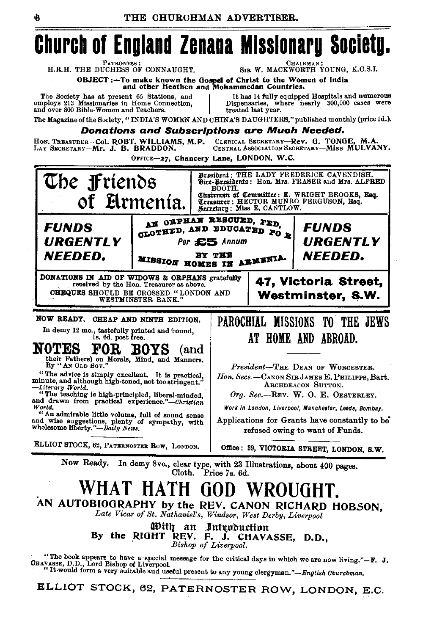# **Church of England Zenana Missionary Society.**

**ATRONESS** H.R.H. THE DUCHESS OF CONNAUGHT.

SIR W. MACKWORTH YOUNG, K.C.S.I.

OBJECT:-To make known the Gospel of Christ to the Women of India<br>and other Heathen and Mohammedan Countries.

The Society has at present 65 Stations, and employs 213 Missionaries in Home Connection, and over 800 Bible-Women and Teachers.

It has 14 fully equipped Hospitals and numerous Dispensaries, where nearly 300,000 cases were treated last year.

The Magazine of the Society, "INDIA'S WOMEN AND CHINA'S DAUGHTERS," published monthly (price 1d.).

#### **Donations and Subscriptions are Much Needed.**

HON. TREASURER-Col. ROBT. WILLIAMS, M.P.<br>LAY SECRETARY-Mr. J. B. BRADDON. CLERICAL SECRETARY-Rev. G. TONGE. M.A CENTRAL ASSOCIATION SECRETARY-MISS MULVANY.

OFFICE-27, Chancery Lane, LONDON, W.C.



Bishop of Liverpool.

"The book appears to have a special message for the critical days in which we are now living."-F. J. CHANASSE, D.D., Lord Bishop of Liverpool.<br>CHANASSE, D.D., Lord Bishop of Liverpool.<br>"It would form a very suitable aud useful present to any young clergyman."—English Churchman.

ELLIOT STOCK, 62, PATERNOSTER ROW, LONDON, E.C.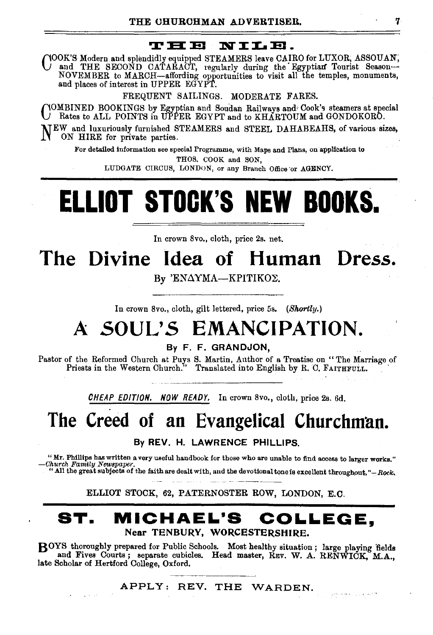#### **T::EI:E N:I:LE.**

COOK'S Modern and splendidly equipped STEAMERS leave CAIRO for LUXOR, ASSOUAN,<br>Can a THE SECOND CATARACT, regularly during the Egyptian Tourist Season-NOVEMBER to MARCH-affording opportunities to visit all the temples, monuments, and places of interest in UPPER EGYPT.

FREQUENT SAILINGS. MODERATE FARES.

COMBINED BOOKINGS by Egyptian and Soudan Railways and' Cook'9 steamers at special Rates to ALL POINTS in UPPER EGYPT and to KHARTOUM and GONDOKORO.

NEW and luxuriously furnished STEAMERS and STEEL DAHABEAHS, of various sizes; ON HIRE for private parties.

For detailed information see special Programme, with Maps and Plans, on application to THOS. COOK and SON,

LUDGATE CIRCUS, LONDON, or any Branch Office or AGENCY.

# **ELLIOT STOCK'S NEW BOOKS.**

In crown Svo., cloth, price 2s. net.

## The Divine Idea of Human Dress.

 $B_{V}$  'ENAYMA-KPITIKO<sub>2</sub>

In crown Svo., cloth, gilt lettered, price 5s. *(Shortly.)* 

## **A SOUL'S EMANCIPATION.**

By F. F. GRANDJON,

Pastor of the Reformed Church at Puys S. Martin, Author of a Treatise on " The Marriage of Priests in the Western Church." Translated into English by R. C. FAITHFULL.

CHEAP EDITION. NOW READY. In crown 8vo., cloth, price 2s. 6d.

### The Creed of an Evangelical Churchman.

By REV. H. LAWRENCE PHILLIPS.

"Mr. Phillips has written a very useful handbook for those who are unable to find access to larger works." Church Family Newspaper. "All the great subjects of the faith are dealt with, and the devotional tone is excellent throughout, "-Rock.

ELLIOT STOCK, 62, PATERNOSTER ROW, LONDON, E.C.

### **ST. MICHAEL'S COLLEGE,**  Near TENBURY, WORCESTERSHIRE.

BOYS thoroughly prepared for Public Schools. Most healthy situation ; large playing 'fields and Fives Courts; separate cubicles. Head master, REV. W. A. RENWICK, M.A., also and Hertford College, Oxford.

APPLY: REV. THE WARDEN.